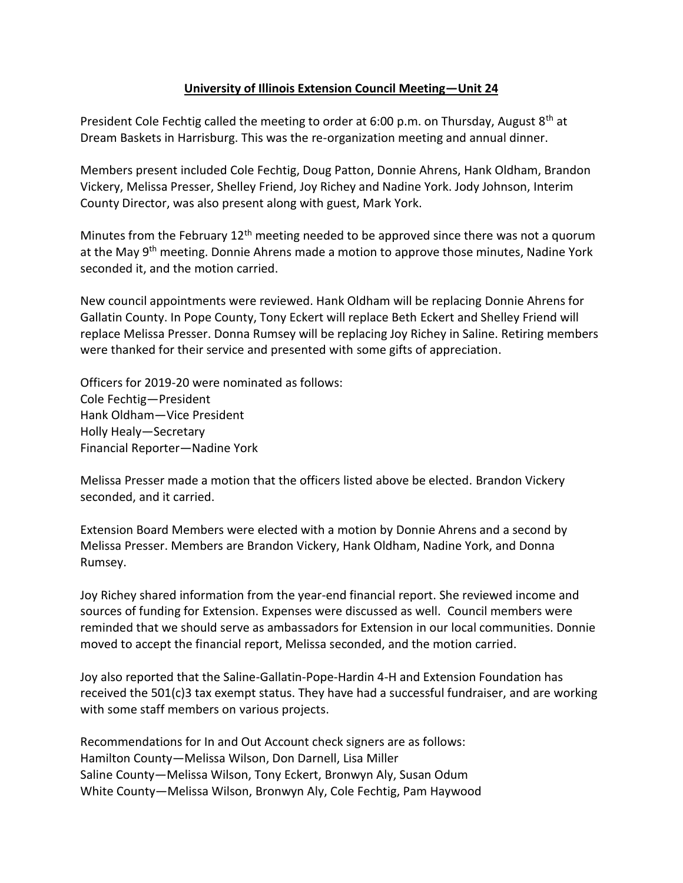## **University of Illinois Extension Council Meeting—Unit 24**

President Cole Fechtig called the meeting to order at 6:00 p.m. on Thursday, August 8<sup>th</sup> at Dream Baskets in Harrisburg. This was the re-organization meeting and annual dinner.

Members present included Cole Fechtig, Doug Patton, Donnie Ahrens, Hank Oldham, Brandon Vickery, Melissa Presser, Shelley Friend, Joy Richey and Nadine York. Jody Johnson, Interim County Director, was also present along with guest, Mark York.

Minutes from the February  $12<sup>th</sup>$  meeting needed to be approved since there was not a quorum at the May 9<sup>th</sup> meeting. Donnie Ahrens made a motion to approve those minutes, Nadine York seconded it, and the motion carried.

New council appointments were reviewed. Hank Oldham will be replacing Donnie Ahrens for Gallatin County. In Pope County, Tony Eckert will replace Beth Eckert and Shelley Friend will replace Melissa Presser. Donna Rumsey will be replacing Joy Richey in Saline. Retiring members were thanked for their service and presented with some gifts of appreciation.

Officers for 2019-20 were nominated as follows: Cole Fechtig—President Hank Oldham—Vice President Holly Healy—Secretary Financial Reporter—Nadine York

Melissa Presser made a motion that the officers listed above be elected. Brandon Vickery seconded, and it carried.

Extension Board Members were elected with a motion by Donnie Ahrens and a second by Melissa Presser. Members are Brandon Vickery, Hank Oldham, Nadine York, and Donna Rumsey.

Joy Richey shared information from the year-end financial report. She reviewed income and sources of funding for Extension. Expenses were discussed as well. Council members were reminded that we should serve as ambassadors for Extension in our local communities. Donnie moved to accept the financial report, Melissa seconded, and the motion carried.

Joy also reported that the Saline-Gallatin-Pope-Hardin 4-H and Extension Foundation has received the 501(c)3 tax exempt status. They have had a successful fundraiser, and are working with some staff members on various projects.

Recommendations for In and Out Account check signers are as follows: Hamilton County—Melissa Wilson, Don Darnell, Lisa Miller Saline County—Melissa Wilson, Tony Eckert, Bronwyn Aly, Susan Odum White County—Melissa Wilson, Bronwyn Aly, Cole Fechtig, Pam Haywood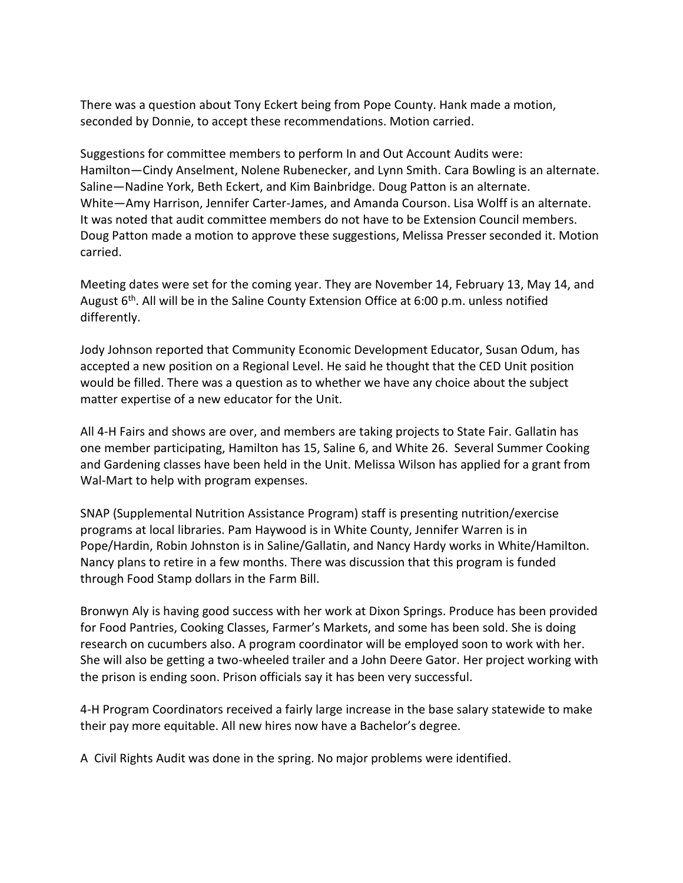There was a question about Tony Eckert being from Pope County. Hank made a motion, seconded by Donnie, to accept these recommendations. Motion carried.

Suggestions for committee members to perform In and Out Account Audits were: Hamilton—Cindy Anselment, Nolene Rubenecker, and Lynn Smith. Cara Bowling is an alternate. Saline—Nadine York, Beth Eckert, and Kim Bainbridge. Doug Patton is an alternate. White—Amy Harrison, Jennifer Carter-James, and Amanda Courson. Lisa Wolff is an alternate. It was noted that audit committee members do not have to be Extension Council members. Doug Patton made a motion to approve these suggestions, Melissa Presser seconded it. Motion carried.

Meeting dates were set for the coming year. They are November 14, February 13, May 14, and August  $6<sup>th</sup>$ . All will be in the Saline County Extension Office at 6:00 p.m. unless notified differently.

Jody Johnson reported that Community Economic Development Educator, Susan Odum, has accepted a new position on a Regional Level. He said he thought that the CED Unit position would be filled. There was a question as to whether we have any choice about the subject matter expertise of a new educator for the Unit.

All 4-H Fairs and shows are over, and members are taking projects to State Fair. Gallatin has one member participating, Hamilton has 15, Saline 6, and White 26. Several Summer Cooking and Gardening classes have been held in the Unit. Melissa Wilson has applied for a grant from Wal-Mart to help with program expenses.

SNAP (Supplemental Nutrition Assistance Program) staff is presenting nutrition/exercise programs at local libraries. Pam Haywood is in White County, Jennifer Warren is in Pope/Hardin, Robin Johnston is in Saline/Gallatin, and Nancy Hardy works in White/Hamilton. Nancy plans to retire in a few months. There was discussion that this program is funded through Food Stamp dollars in the Farm Bill.

Bronwyn Aly is having good success with her work at Dixon Springs. Produce has been provided for Food Pantries, Cooking Classes, Farmer's Markets, and some has been sold. She is doing research on cucumbers also. A program coordinator will be employed soon to work with her. She will also be getting a two-wheeled trailer and a John Deere Gator. Her project working with the prison is ending soon. Prison officials say it has been very successful.

4-H Program Coordinators received a fairly large increase in the base salary statewide to make their pay more equitable. All new hires now have a Bachelor's degree.

A Civil Rights Audit was done in the spring. No major problems were identified.